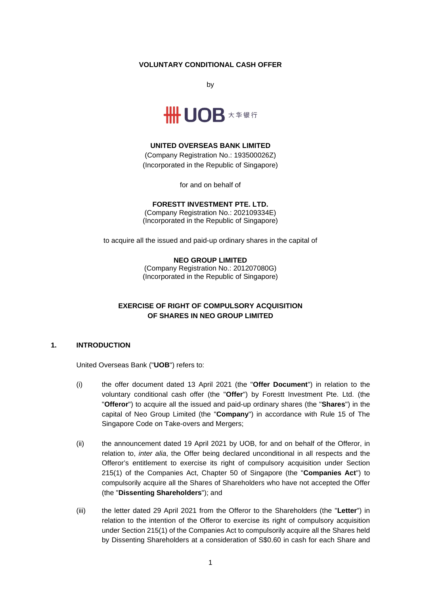## **VOLUNTARY CONDITIONAL CASH OFFER**

by



### **UNITED OVERSEAS BANK LIMITED**

(Company Registration No.: 193500026Z) (Incorporated in the Republic of Singapore)

for and on behalf of

## **FORESTT INVESTMENT PTE. LTD.**

(Company Registration No.: 202109334E) (Incorporated in the Republic of Singapore)

to acquire all the issued and paid-up ordinary shares in the capital of

### **NEO GROUP LIMITED**

(Company Registration No.: 201207080G) (Incorporated in the Republic of Singapore)

## **EXERCISE OF RIGHT OF COMPULSORY ACQUISITION OF SHARES IN NEO GROUP LIMITED**

### **1. INTRODUCTION**

United Overseas Bank ("**UOB**") refers to:

- (i) the offer document dated 13 April 2021 (the "**Offer Document**") in relation to the voluntary conditional cash offer (the "**Offer**") by Forestt Investment Pte. Ltd. (the "**Offeror**") to acquire all the issued and paid-up ordinary shares (the "**Shares**") in the capital of Neo Group Limited (the "**Company**") in accordance with Rule 15 of The Singapore Code on Take-overs and Mergers;
- (ii) the announcement dated 19 April 2021 by UOB, for and on behalf of the Offeror, in relation to, *inter alia*, the Offer being declared unconditional in all respects and the Offeror's entitlement to exercise its right of compulsory acquisition under Section 215(1) of the Companies Act, Chapter 50 of Singapore (the "**Companies Act**") to compulsorily acquire all the Shares of Shareholders who have not accepted the Offer (the "**Dissenting Shareholders**"); and
- (iii) the letter dated 29 April 2021 from the Offeror to the Shareholders (the "**Letter**") in relation to the intention of the Offeror to exercise its right of compulsory acquisition under Section 215(1) of the Companies Act to compulsorily acquire all the Shares held by Dissenting Shareholders at a consideration of S\$0.60 in cash for each Share and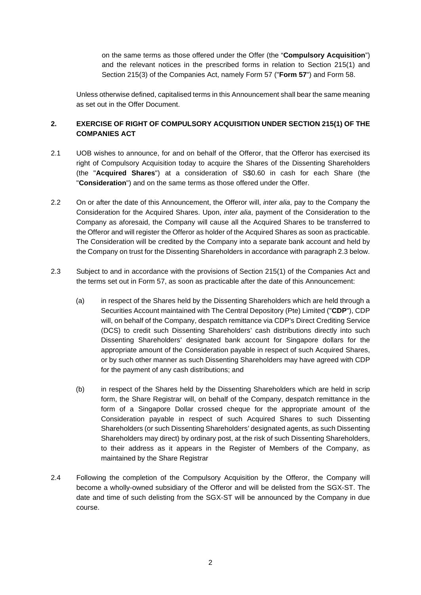on the same terms as those offered under the Offer (the "**Compulsory Acquisition**") and the relevant notices in the prescribed forms in relation to Section 215(1) and Section 215(3) of the Companies Act, namely Form 57 ("**Form 57**") and Form 58.

Unless otherwise defined, capitalised terms in this Announcement shall bear the same meaning as set out in the Offer Document.

# **2. EXERCISE OF RIGHT OF COMPULSORY ACQUISITION UNDER SECTION 215(1) OF THE COMPANIES ACT**

- 2.1 UOB wishes to announce, for and on behalf of the Offeror, that the Offeror has exercised its right of Compulsory Acquisition today to acquire the Shares of the Dissenting Shareholders (the "**Acquired Shares**") at a consideration of S\$0.60 in cash for each Share (the "**Consideration**") and on the same terms as those offered under the Offer.
- 2.2 On or after the date of this Announcement, the Offeror will, *inter alia*, pay to the Company the Consideration for the Acquired Shares. Upon, *inter alia*, payment of the Consideration to the Company as aforesaid, the Company will cause all the Acquired Shares to be transferred to the Offeror and will register the Offeror as holder of the Acquired Shares as soon as practicable. The Consideration will be credited by the Company into a separate bank account and held by the Company on trust for the Dissenting Shareholders in accordance with paragraph 2.3 below.
- 2.3 Subject to and in accordance with the provisions of Section 215(1) of the Companies Act and the terms set out in Form 57, as soon as practicable after the date of this Announcement:
	- (a) in respect of the Shares held by the Dissenting Shareholders which are held through a Securities Account maintained with The Central Depository (Pte) Limited ("**CDP**"), CDP will, on behalf of the Company, despatch remittance via CDP's Direct Crediting Service (DCS) to credit such Dissenting Shareholders' cash distributions directly into such Dissenting Shareholders' designated bank account for Singapore dollars for the appropriate amount of the Consideration payable in respect of such Acquired Shares, or by such other manner as such Dissenting Shareholders may have agreed with CDP for the payment of any cash distributions; and
	- (b) in respect of the Shares held by the Dissenting Shareholders which are held in scrip form, the Share Registrar will, on behalf of the Company, despatch remittance in the form of a Singapore Dollar crossed cheque for the appropriate amount of the Consideration payable in respect of such Acquired Shares to such Dissenting Shareholders (or such Dissenting Shareholders' designated agents, as such Dissenting Shareholders may direct) by ordinary post, at the risk of such Dissenting Shareholders, to their address as it appears in the Register of Members of the Company, as maintained by the Share Registrar
- 2.4 Following the completion of the Compulsory Acquisition by the Offeror, the Company will become a wholly-owned subsidiary of the Offeror and will be delisted from the SGX-ST. The date and time of such delisting from the SGX-ST will be announced by the Company in due course.